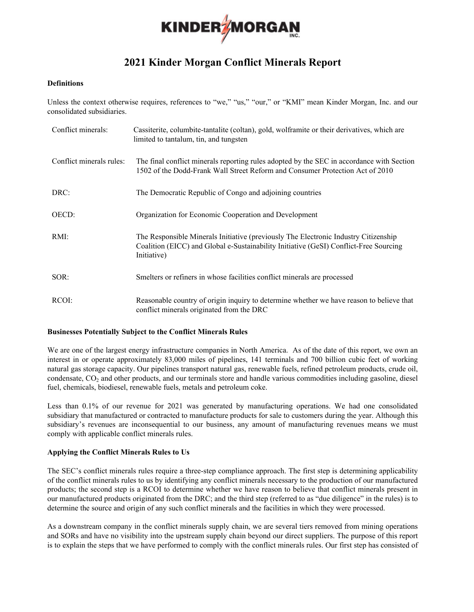

# **2021 Kinder Morgan Conflict Minerals Report**

#### **Definitions**

Unless the context otherwise requires, references to "we," "us," "our," or "KMI" mean Kinder Morgan, Inc. and our consolidated subsidiaries.

| Conflict minerals:       | Cassiterite, columbite-tantalite (coltan), gold, wolframite or their derivatives, which are<br>limited to tantalum, tin, and tungsten                                                       |
|--------------------------|---------------------------------------------------------------------------------------------------------------------------------------------------------------------------------------------|
| Conflict minerals rules: | The final conflict minerals reporting rules adopted by the SEC in accordance with Section<br>1502 of the Dodd-Frank Wall Street Reform and Consumer Protection Act of 2010                  |
| DRC:                     | The Democratic Republic of Congo and adjoining countries                                                                                                                                    |
| OECD:                    | Organization for Economic Cooperation and Development                                                                                                                                       |
| $RMI$ :                  | The Responsible Minerals Initiative (previously The Electronic Industry Citizenship<br>Coalition (EICC) and Global e-Sustainability Initiative (GeSI) Conflict-Free Sourcing<br>Initiative) |
| SOR:                     | Smelters or refiners in whose facilities conflict minerals are processed                                                                                                                    |
| RCOI:                    | Reasonable country of origin inquiry to determine whether we have reason to believe that<br>conflict minerals originated from the DRC                                                       |

#### **Businesses Potentially Subject to the Conflict Minerals Rules**

We are one of the largest energy infrastructure companies in North America. As of the date of this report, we own an interest in or operate approximately 83,000 miles of pipelines, 141 terminals and 700 billion cubic feet of working natural gas storage capacity. Our pipelines transport natural gas, renewable fuels, refined petroleum products, crude oil, condensate, CO2 and other products, and our terminals store and handle various commodities including gasoline, diesel fuel, chemicals, biodiesel, renewable fuels, metals and petroleum coke.

Less than 0.1% of our revenue for 2021 was generated by manufacturing operations. We had one consolidated subsidiary that manufactured or contracted to manufacture products for sale to customers during the year. Although this subsidiary's revenues are inconsequential to our business, any amount of manufacturing revenues means we must comply with applicable conflict minerals rules.

## **Applying the Conflict Minerals Rules to Us**

The SEC's conflict minerals rules require a three-step compliance approach. The first step is determining applicability of the conflict minerals rules to us by identifying any conflict minerals necessary to the production of our manufactured products; the second step is a RCOI to determine whether we have reason to believe that conflict minerals present in our manufactured products originated from the DRC; and the third step (referred to as "due diligence" in the rules) is to determine the source and origin of any such conflict minerals and the facilities in which they were processed.

As a downstream company in the conflict minerals supply chain, we are several tiers removed from mining operations and SORs and have no visibility into the upstream supply chain beyond our direct suppliers. The purpose of this report is to explain the steps that we have performed to comply with the conflict minerals rules. Our first step has consisted of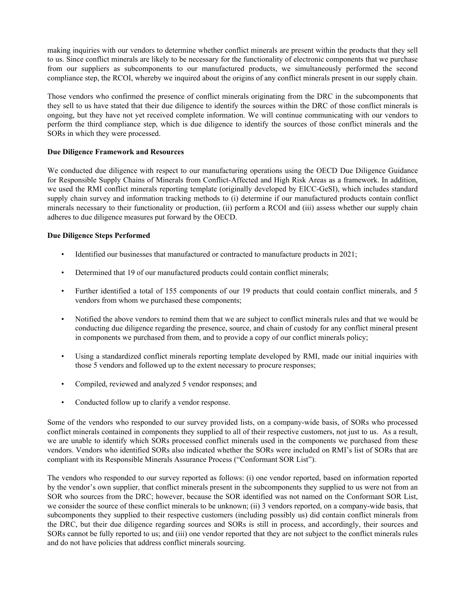making inquiries with our vendors to determine whether conflict minerals are present within the products that they sell to us. Since conflict minerals are likely to be necessary for the functionality of electronic components that we purchase from our suppliers as subcomponents to our manufactured products, we simultaneously performed the second compliance step, the RCOI, whereby we inquired about the origins of any conflict minerals present in our supply chain.

Those vendors who confirmed the presence of conflict minerals originating from the DRC in the subcomponents that they sell to us have stated that their due diligence to identify the sources within the DRC of those conflict minerals is ongoing, but they have not yet received complete information. We will continue communicating with our vendors to perform the third compliance step, which is due diligence to identify the sources of those conflict minerals and the SORs in which they were processed.

### **Due Diligence Framework and Resources**

We conducted due diligence with respect to our manufacturing operations using the OECD Due Diligence Guidance for Responsible Supply Chains of Minerals from Conflict-Affected and High Risk Areas as a framework. In addition, we used the RMI conflict minerals reporting template (originally developed by EICC-GeSI), which includes standard supply chain survey and information tracking methods to (i) determine if our manufactured products contain conflict minerals necessary to their functionality or production, (ii) perform a RCOI and (iii) assess whether our supply chain adheres to due diligence measures put forward by the OECD.

## **Due Diligence Steps Performed**

- Identified our businesses that manufactured or contracted to manufacture products in 2021;
- Determined that 19 of our manufactured products could contain conflict minerals;
- Further identified a total of 155 components of our 19 products that could contain conflict minerals, and 5 vendors from whom we purchased these components;
- Notified the above vendors to remind them that we are subject to conflict minerals rules and that we would be conducting due diligence regarding the presence, source, and chain of custody for any conflict mineral present in components we purchased from them, and to provide a copy of our conflict minerals policy;
- Using a standardized conflict minerals reporting template developed by RMI, made our initial inquiries with those 5 vendors and followed up to the extent necessary to procure responses;
- Compiled, reviewed and analyzed 5 vendor responses; and
- Conducted follow up to clarify a vendor response.

Some of the vendors who responded to our survey provided lists, on a company-wide basis, of SORs who processed conflict minerals contained in components they supplied to all of their respective customers, not just to us. As a result, we are unable to identify which SORs processed conflict minerals used in the components we purchased from these vendors. Vendors who identified SORs also indicated whether the SORs were included on RMI's list of SORs that are compliant with its Responsible Minerals Assurance Process ("Conformant SOR List").

The vendors who responded to our survey reported as follows: (i) one vendor reported, based on information reported by the vendor's own supplier, that conflict minerals present in the subcomponents they supplied to us were not from an SOR who sources from the DRC; however, because the SOR identified was not named on the Conformant SOR List, we consider the source of these conflict minerals to be unknown; (ii) 3 vendors reported, on a company-wide basis, that subcomponents they supplied to their respective customers (including possibly us) did contain conflict minerals from the DRC, but their due diligence regarding sources and SORs is still in process, and accordingly, their sources and SORs cannot be fully reported to us; and (iii) one vendor reported that they are not subject to the conflict minerals rules and do not have policies that address conflict minerals sourcing.